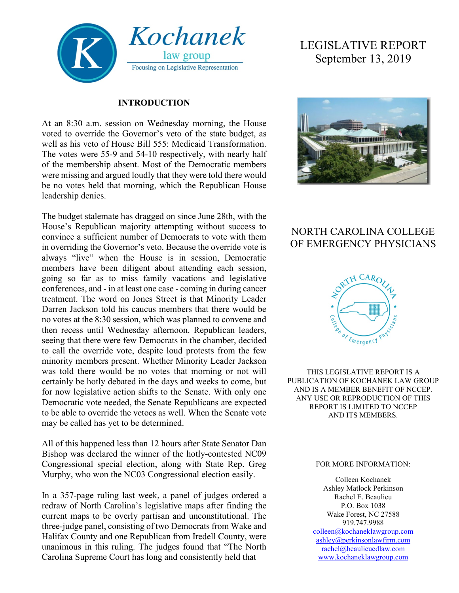

#### **INTRODUCTION**

At an 8:30 a.m. session on Wednesday morning, the House voted to override the Governor's veto of the state budget, as well as his veto of House Bill 555: Medicaid Transformation. The votes were 55-9 and 54-10 respectively, with nearly half of the membership absent. Most of the Democratic members were missing and argued loudly that they were told there would be no votes held that morning, which the Republican House leadership denies.

The budget stalemate has dragged on since June 28th, with the House's Republican majority attempting without success to convince a sufficient number of Democrats to vote with them in overriding the Governor's veto. Because the override vote is always "live" when the House is in session, Democratic members have been diligent about attending each session, going so far as to miss family vacations and legislative conferences, and - in at least one case - coming in during cancer treatment. The word on Jones Street is that Minority Leader Darren Jackson told his caucus members that there would be no votes at the 8:30 session, which was planned to convene and then recess until Wednesday afternoon. Republican leaders, seeing that there were few Democrats in the chamber, decided to call the override vote, despite loud protests from the few minority members present. Whether Minority Leader Jackson was told there would be no votes that morning or not will certainly be hotly debated in the days and weeks to come, but for now legislative action shifts to the Senate. With only one Democratic vote needed, the Senate Republicans are expected to be able to override the vetoes as well. When the Senate vote may be called has yet to be determined.

All of this happened less than 12 hours after State Senator Dan Bishop was declared the winner of the hotly-contested NC09 Congressional special election, along with State Rep. Greg Murphy, who won the NC03 Congressional election easily.

In a 357-page ruling last week, a panel of judges ordered a redraw of North Carolina's legislative maps after finding the current maps to be overly partisan and unconstitutional. The three-judge panel, consisting of two Democrats from Wake and Halifax County and one Republican from Iredell County, were unanimous in this ruling. The judges found that "The North Carolina Supreme Court has long and consistently held that

# LEGISLATIVE REPORT September 13, 2019



# NORTH CAROLINA COLLEGE OF EMERGENCY PHYSICIANS



THIS LEGISLATIVE REPORT IS A PUBLICATION OF KOCHANEK LAW GROUP AND IS A MEMBER BENEFIT OF NCCEP. ANY USE OR REPRODUCTION OF THIS REPORT IS LIMITED TO NCCEP AND ITS MEMBERS.

#### FOR MORE INFORMATION:

Colleen Kochanek Ashley Matlock Perkinson Rachel E. Beaulieu P.O. Box 1038 Wake Forest, NC 27588 919.747.9988 [colleen@kochaneklawgroup.com](mailto:colleen@kochaneklawgroup.com) [ashley@perkinsonlawfirm.com](mailto:ashley@perkinsonlawfirm.com) [rachel@beaulieuedlaw.com](mailto:rachel@beaulieuedlaw.com)

[www.kochaneklawgroup.com](http://www.kochaneklawgroup.com/)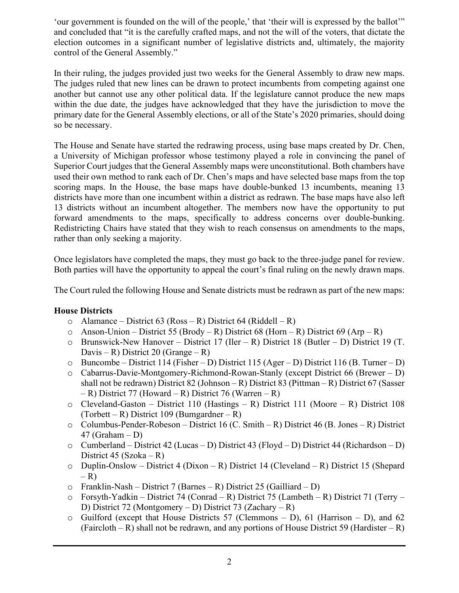'our government is founded on the will of the people,' that 'their will is expressed by the ballot'" and concluded that "it is the carefully crafted maps, and not the will of the voters, that dictate the election outcomes in a significant number of legislative districts and, ultimately, the majority control of the General Assembly."

In their ruling, the judges provided just two weeks for the General Assembly to draw new maps. The judges ruled that new lines can be drawn to protect incumbents from competing against one another but cannot use any other political data. If the legislature cannot produce the new maps within the due date, the judges have acknowledged that they have the jurisdiction to move the primary date for the General Assembly elections, or all of the State's 2020 primaries, should doing so be necessary.

The House and Senate have started the redrawing process, using base maps created by Dr. Chen, a University of Michigan professor whose testimony played a role in convincing the panel of Superior Court judges that the General Assembly maps were unconstitutional. Both chambers have used their own method to rank each of Dr. Chen's maps and have selected base maps from the top scoring maps. In the House, the base maps have double-bunked 13 incumbents, meaning 13 districts have more than one incumbent within a district as redrawn. The base maps have also left 13 districts without an incumbent altogether. The members now have the opportunity to put forward amendments to the maps, specifically to address concerns over double-bunking. Redistricting Chairs have stated that they wish to reach consensus on amendments to the maps, rather than only seeking a majority.

Once legislators have completed the maps, they must go back to the three-judge panel for review. Both parties will have the opportunity to appeal the court's final ruling on the newly drawn maps.

The Court ruled the following House and Senate districts must be redrawn as part of the new maps:

#### **House Districts**

- $\circ$  Alamance District 63 (Ross R) District 64 (Riddell R)
- o Anson-Union District 55 (Brody R) District 68 (Horn R) District 69 (Arp R)
- o Brunswick-New Hanover District 17 (Iler R) District 18 (Butler D) District 19 (T. Davis – R) District 20 (Grange – R)
- o Buncombe District 114 (Fisher D) District 115 (Ager D) District 116 (B. Turner D)
- o Cabarrus-Davie-Montgomery-Richmond-Rowan-Stanly (except District 66 (Brewer D) shall not be redrawn) District 82 (Johnson – R) District 83 (Pittman – R) District 67 (Sasser  $- R$ ) District 77 (Howard – R) District 76 (Warren – R)
- o Cleveland-Gaston District 110 (Hastings R) District 111 (Moore R) District 108 (Torbett – R) District 109 (Bumgardner – R)
- o Columbus-Pender-Robeson District 16 (C. Smith R) District 46 (B. Jones R) District  $47$  (Graham – D)
- o Cumberland District 42 (Lucas D) District 43 (Floyd D) District 44 (Richardson D) District 45 (Szoka – R)
- o Duplin-Onslow District 4 (Dixon R) District 14 (Cleveland R) District 15 (Shepard  $- R$ )
- $\circ$  Franklin-Nash District 7 (Barnes R) District 25 (Gailliard D)
- $\circ$  Forsyth-Yadkin District 74 (Conrad R) District 75 (Lambeth R) District 71 (Terry D) District 72 (Montgomery – D) District 73 (Zachary – R)
- $\circ$  Guilford (except that House Districts 57 (Clemmons D), 61 (Harrison D), and 62 (Faircloth – R) shall not be redrawn, and any portions of House District 59 (Hardister – R)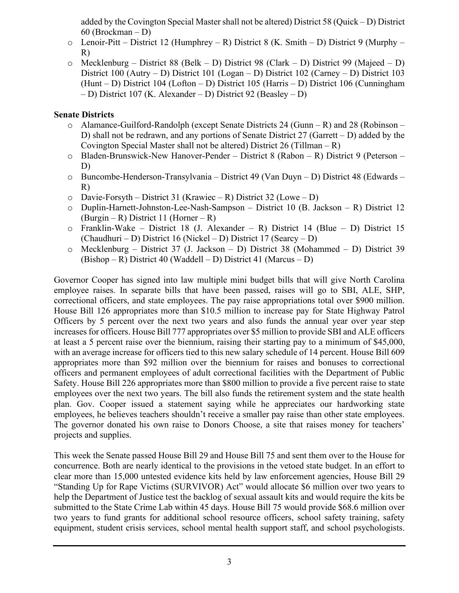added by the Covington Special Master shall not be altered) District 58 (Quick – D) District 60 (Brockman – D)

- $\circ$  Lenoir-Pitt District 12 (Humphrey R) District 8 (K. Smith D) District 9 (Murphy R)
- o Mecklenburg District 88 (Belk D) District 98 (Clark D) District 99 (Majeed D) District 100 (Autry – D) District 101 (Logan – D) District 102 (Carney – D) District 103 (Hunt – D) District 104 (Lofton – D) District 105 (Harris – D) District 106 (Cunningham – D) District 107 (K. Alexander – D) District 92 (Beasley – D)

#### **Senate Districts**

- o Alamance-Guilford-Randolph (except Senate Districts 24 (Gunn R) and 28 (Robinson D) shall not be redrawn, and any portions of Senate District 27 (Garrett – D) added by the Covington Special Master shall not be altered) District 26 (Tillman – R)
- o Bladen-Brunswick-New Hanover-Pender District 8 (Rabon R) District 9 (Peterson D)
- o Buncombe-Henderson-Transylvania District 49 (Van Duyn D) District 48 (Edwards R)
- $\circ$  Davie-Forsyth District 31 (Krawiec R) District 32 (Lowe D)
- o Duplin-Harnett-Johnston-Lee-Nash-Sampson District 10 (B. Jackson R) District 12 (Burgin – R) District 11 (Horner – R)
- o Franklin-Wake District 18 (J. Alexander R) District 14 (Blue D) District 15 (Chaudhuri – D) District 16 (Nickel – D) District 17 (Searcy – D)
- o Mecklenburg District 37 (J. Jackson D) District 38 (Mohammed D) District 39 (Bishop – R) District 40 (Waddell – D) District 41 (Marcus – D)

Governor Cooper has signed into law multiple mini budget bills that will give North Carolina employee raises. In separate bills that have been passed, raises will go to SBI, ALE, SHP, correctional officers, and state employees. The pay raise appropriations total over \$900 million. House Bill 126 appropriates more than \$10.5 million to increase pay for State Highway Patrol Officers by 5 percent over the next two years and also funds the annual year over year step increases for officers. House Bill 777 appropriates over \$5 million to provide SBI and ALE officers at least a 5 percent raise over the biennium, raising their starting pay to a minimum of \$45,000, with an average increase for officers tied to this new salary schedule of 14 percent. House Bill 609 appropriates more than \$92 million over the biennium for raises and bonuses to correctional officers and permanent employees of adult correctional facilities with the Department of Public Safety. House Bill 226 appropriates more than \$800 million to provide a five percent raise to state employees over the next two years. The bill also funds the retirement system and the state health plan. Gov. Cooper issued a statement saying while he appreciates our hardworking state employees, he believes teachers shouldn't receive a smaller pay raise than other state employees. The governor donated his own raise to Donors Choose, a site that raises money for teachers' projects and supplies.

This week the Senate passed House Bill 29 and House Bill 75 and sent them over to the House for concurrence. Both are nearly identical to the provisions in the vetoed state budget. In an effort to clear more than 15,000 untested evidence kits held by law enforcement agencies, House Bill 29 "Standing Up for Rape Victims (SURVIVOR) Act" would allocate \$6 million over two years to help the Department of Justice test the backlog of sexual assault kits and would require the kits be submitted to the State Crime Lab within 45 days. House Bill 75 would provide \$68.6 million over two years to fund grants for additional school resource officers, school safety training, safety equipment, student crisis services, school mental health support staff, and school psychologists.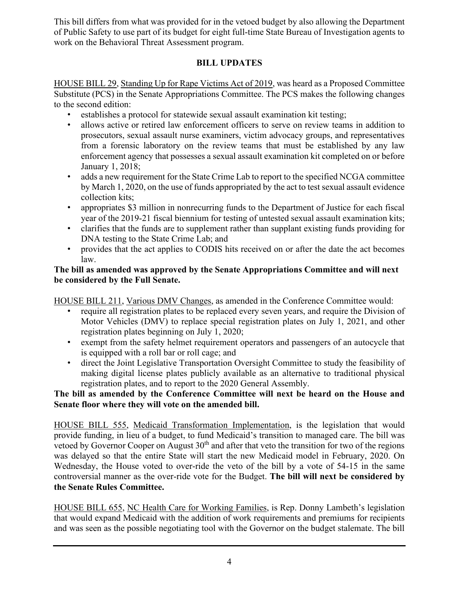This bill differs from what was provided for in the vetoed budget by also allowing the Department of Public Safety to use part of its budget for eight full-time State Bureau of Investigation agents to work on the Behavioral Threat Assessment program.

## **BILL UPDATES**

HOUSE BILL 29, Standing Up for Rape Victims Act of 2019, was heard as a Proposed Committee Substitute (PCS) in the Senate Appropriations Committee. The PCS makes the following changes to the second edition:

- establishes a protocol for statewide sexual assault examination kit testing;
- allows active or retired law enforcement officers to serve on review teams in addition to prosecutors, sexual assault nurse examiners, victim advocacy groups, and representatives from a forensic laboratory on the review teams that must be established by any law enforcement agency that possesses a sexual assault examination kit completed on or before January 1, 2018;
- adds a new requirement for the State Crime Lab to report to the specified NCGA committee by March 1, 2020, on the use of funds appropriated by the act to test sexual assault evidence collection kits;
- appropriates \$3 million in nonrecurring funds to the Department of Justice for each fiscal year of the 2019-21 fiscal biennium for testing of untested sexual assault examination kits;
- clarifies that the funds are to supplement rather than supplant existing funds providing for DNA testing to the State Crime Lab; and
- provides that the act applies to CODIS hits received on or after the date the act becomes law.

### **The bill as amended was approved by the Senate Appropriations Committee and will next be considered by the Full Senate.**

HOUSE BILL 211, Various DMV Changes, as amended in the Conference Committee would:

- require all registration plates to be replaced every seven years, and require the Division of Motor Vehicles (DMV) to replace special registration plates on July 1, 2021, and other registration plates beginning on July 1, 2020;
- exempt from the safety helmet requirement operators and passengers of an autocycle that is equipped with a roll bar or roll cage; and
- direct the Joint Legislative Transportation Oversight Committee to study the feasibility of making digital license plates publicly available as an alternative to traditional physical registration plates, and to report to the 2020 General Assembly.

### **The bill as amended by the Conference Committee will next be heard on the House and Senate floor where they will vote on the amended bill.**

HOUSE BILL 555, Medicaid Transformation Implementation, is the legislation that would provide funding, in lieu of a budget, to fund Medicaid's transition to managed care. The bill was vetoed by Governor Cooper on August  $30<sup>th</sup>$  and after that veto the transition for two of the regions was delayed so that the entire State will start the new Medicaid model in February, 2020. On Wednesday, the House voted to over-ride the veto of the bill by a vote of 54-15 in the same controversial manner as the over-ride vote for the Budget. **The bill will next be considered by the Senate Rules Committee.**

HOUSE BILL 655, NC Health Care for Working Families, is Rep. Donny Lambeth's legislation that would expand Medicaid with the addition of work requirements and premiums for recipients and was seen as the possible negotiating tool with the Governor on the budget stalemate. The bill